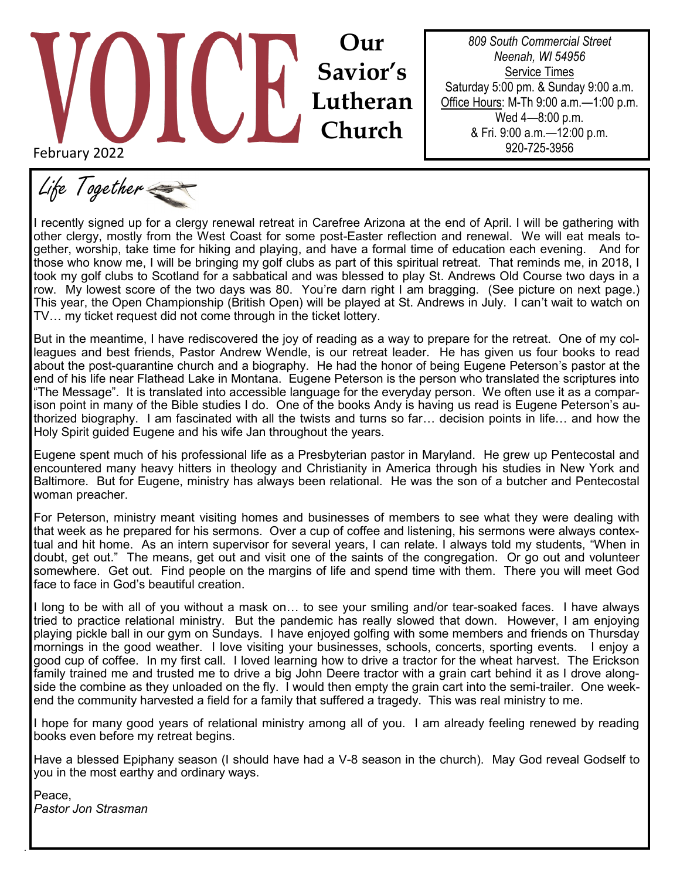# February 2022 **Our Savior's Lutheran Church**

*809 South Commercial Street Neenah, WI 54956* Service Times Saturday 5:00 pm. & Sunday 9:00 a.m. Office Hours: M-Th 9:00 a.m.—1:00 p.m. Wed 4—8:00 p.m. & Fri. 9:00 a.m.—12:00 p.m. 920-725-3956

Life Together

I recently signed up for a clergy renewal retreat in Carefree Arizona at the end of April. I will be gathering with other clergy, mostly from the West Coast for some post-Easter reflection and renewal. We will eat meals together, worship, take time for hiking and playing, and have a formal time of education each evening. And for those who know me, I will be bringing my golf clubs as part of this spiritual retreat. That reminds me, in 2018, I took my golf clubs to Scotland for a sabbatical and was blessed to play St. Andrews Old Course two days in a row. My lowest score of the two days was 80. You're darn right I am bragging. (See picture on next page.) This year, the Open Championship (British Open) will be played at St. Andrews in July. I can't wait to watch on TV… my ticket request did not come through in the ticket lottery.

But in the meantime, I have rediscovered the joy of reading as a way to prepare for the retreat. One of my colleagues and best friends, Pastor Andrew Wendle, is our retreat leader. He has given us four books to read about the post-quarantine church and a biography. He had the honor of being Eugene Peterson's pastor at the end of his life near Flathead Lake in Montana. Eugene Peterson is the person who translated the scriptures into "The Message". It is translated into accessible language for the everyday person. We often use it as a comparison point in many of the Bible studies I do. One of the books Andy is having us read is Eugene Peterson's authorized biography. I am fascinated with all the twists and turns so far… decision points in life… and how the Holy Spirit guided Eugene and his wife Jan throughout the years.

Eugene spent much of his professional life as a Presbyterian pastor in Maryland. He grew up Pentecostal and encountered many heavy hitters in theology and Christianity in America through his studies in New York and Baltimore. But for Eugene, ministry has always been relational. He was the son of a butcher and Pentecostal woman preacher.

For Peterson, ministry meant visiting homes and businesses of members to see what they were dealing with that week as he prepared for his sermons. Over a cup of coffee and listening, his sermons were always contextual and hit home. As an intern supervisor for several years, I can relate. I always told my students, "When in doubt, get out." The means, get out and visit one of the saints of the congregation. Or go out and volunteer somewhere. Get out. Find people on the margins of life and spend time with them. There you will meet God face to face in God's beautiful creation.

I long to be with all of you without a mask on… to see your smiling and/or tear-soaked faces. I have always tried to practice relational ministry. But the pandemic has really slowed that down. However, I am enjoying playing pickle ball in our gym on Sundays. I have enjoyed golfing with some members and friends on Thursday mornings in the good weather. I love visiting your businesses, schools, concerts, sporting events. I enjoy a good cup of coffee. In my first call. I loved learning how to drive a tractor for the wheat harvest. The Erickson family trained me and trusted me to drive a big John Deere tractor with a grain cart behind it as I drove alongside the combine as they unloaded on the fly. I would then empty the grain cart into the semi-trailer. One weekend the community harvested a field for a family that suffered a tragedy. This was real ministry to me.

I hope for many good years of relational ministry among all of you. I am already feeling renewed by reading books even before my retreat begins.

Have a blessed Epiphany season (I should have had a V-8 season in the church). May God reveal Godself to you in the most earthy and ordinary ways.

Peace, *Pastor Jon Strasman*

.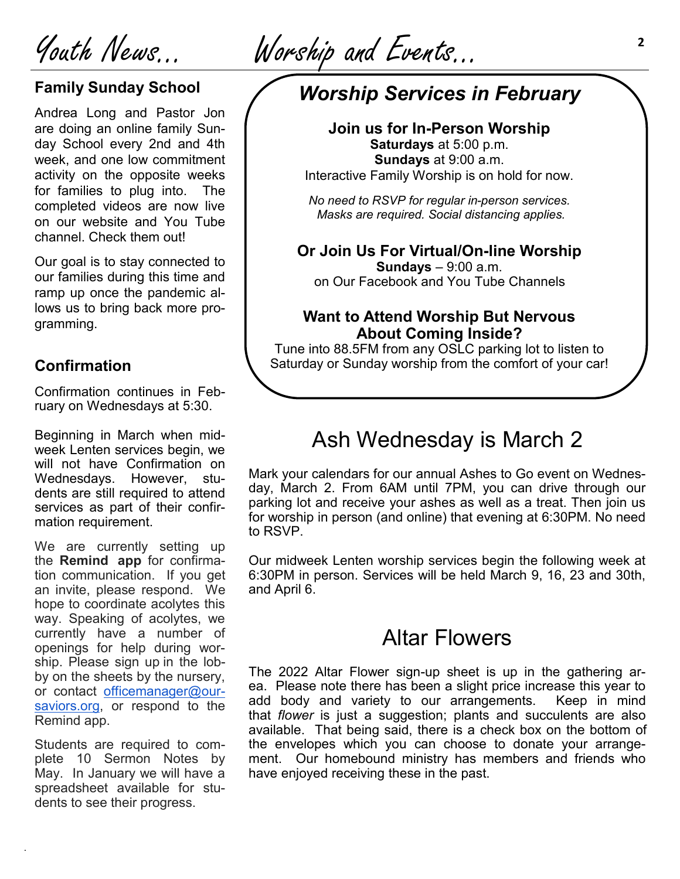Youth News… Worship and Events...

### **Family Sunday School**

Andrea Long and Pastor Jon are doing an online family Sunday School every 2nd and 4th week, and one low commitment activity on the opposite weeks for families to plug into. The completed videos are now live on our website and You Tube channel. Check them out!

Our goal is to stay connected to our families during this time and ramp up once the pandemic allows us to bring back more programming.

### **Confirmation**

Confirmation continues in February on Wednesdays at 5:30.

Beginning in March when midweek Lenten services begin, we will not have Confirmation on Wednesdays. However, students are still required to attend services as part of their confirmation requirement.

We are currently setting up the **Remind app** for confirmation communication. If you get an invite, please respond. We hope to coordinate acolytes this way. Speaking of acolytes, we currently have a number of openings for help during worship. Please sign up in the lobby on the sheets by the nursery, or contact [officemanager@our](mailto:officemanager@our-saviors.org)[saviors.org,](mailto:officemanager@our-saviors.org) or respond to the Remind app.

Students are required to complete 10 Sermon Notes by May. In January we will have a spreadsheet available for students to see their progress.

.

# *Worship Services in February*

**Join us for In-Person Worship Saturdays** at 5:00 p.m. **Sundays** at 9:00 a.m. Interactive Family Worship is on hold for now.

*No need to RSVP for regular in-person services. Masks are required. Social distancing applies.* 

**Or Join Us For Virtual/On-line Worship Sundays** – 9:00 a.m.

on Our Facebook and You Tube Channels

### **Want to Attend Worship But Nervous About Coming Inside?**

Tune into 88.5FM from any OSLC parking lot to listen to Saturday or Sunday worship from the comfort of your car!

# Ash Wednesday is March 2

Mark your calendars for our annual Ashes to Go event on Wednesday, March 2. From 6AM until 7PM, you can drive through our parking lot and receive your ashes as well as a treat. Then join us for worship in person (and online) that evening at 6:30PM. No need to RSVP.

Our midweek Lenten worship services begin the following week at 6:30PM in person. Services will be held March 9, 16, 23 and 30th, and April 6.

## Altar Flowers

The 2022 Altar Flower sign-up sheet is up in the gathering area. Please note there has been a slight price increase this year to add body and variety to our arrangements. Keep in mind that *flower* is just a suggestion; plants and succulents are also available. That being said, there is a check box on the bottom of the envelopes which you can choose to donate your arrangement. Our homebound ministry has members and friends who have enjoyed receiving these in the past.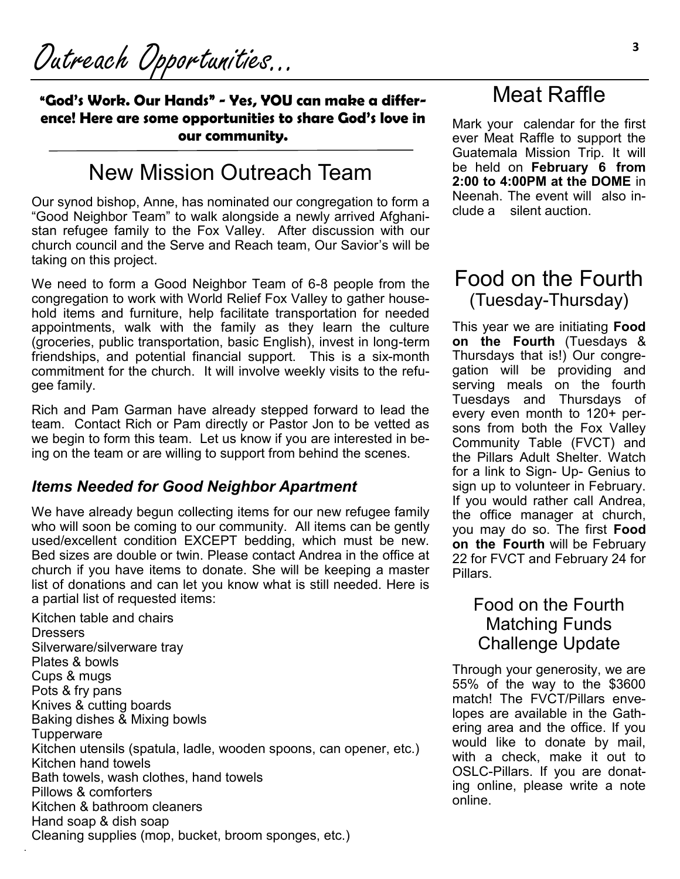**"God's Work. Our Hands" - Yes, YOU can make a difference! Here are some opportunities to share God's love in our community.**

# New Mission Outreach Team

Our synod bishop, Anne, has nominated our congregation to form a "Good Neighbor Team" to walk alongside a newly arrived Afghanistan refugee family to the Fox Valley. After discussion with our church council and the Serve and Reach team, Our Savior's will be taking on this project.

We need to form a Good Neighbor Team of 6-8 people from the congregation to work with World Relief Fox Valley to gather household items and furniture, help facilitate transportation for needed appointments, walk with the family as they learn the culture (groceries, public transportation, basic English), invest in long-term friendships, and potential financial support. This is a six-month commitment for the church. It will involve weekly visits to the refugee family.

Rich and Pam Garman have already stepped forward to lead the team. Contact Rich or Pam directly or Pastor Jon to be vetted as we begin to form this team. Let us know if you are interested in being on the team or are willing to support from behind the scenes.

### *Items Needed for Good Neighbor Apartment*

We have already begun collecting items for our new refugee family who will soon be coming to our community. All items can be gently used/excellent condition EXCEPT bedding, which must be new. Bed sizes are double or twin. Please contact Andrea in the office at church if you have items to donate. She will be keeping a master list of donations and can let you know what is still needed. Here is a partial list of requested items:

Kitchen table and chairs **Dressers** Silverware/silverware tray Plates & bowls Cups & mugs Pots & fry pans Knives & cutting boards Baking dishes & Mixing bowls **Tupperware** Kitchen utensils (spatula, ladle, wooden spoons, can opener, etc.) Kitchen hand towels Bath towels, wash clothes, hand towels Pillows & comforters Kitchen & bathroom cleaners Hand soap & dish soap Cleaning supplies (mop, bucket, broom sponges, etc.)

.

# Meat Raffle

Mark your calendar for the first ever Meat Raffle to support the Guatemala Mission Trip. It will be held on **February 6 from 2:00 to 4:00PM at the DOME** in Neenah. The event will also include a silent auction.

## Food on the Fourth (Tuesday-Thursday)

This year we are initiating **Food on the Fourth** (Tuesdays & Thursdays that is!) Our congregation will be providing and serving meals on the fourth Tuesdays and Thursdays of every even month to 120+ persons from both the Fox Valley Community Table (FVCT) and the Pillars Adult Shelter. Watch for a link to Sign- Up- Genius to sign up to volunteer in February. If you would rather call Andrea, the office manager at church, you may do so. The first **Food on the Fourth** will be February 22 for FVCT and February 24 for Pillars.

## Food on the Fourth Matching Funds Challenge Update

Through your generosity, we are 55% of the way to the \$3600 match! The FVCT/Pillars envelopes are available in the Gathering area and the office. If you would like to donate by mail, with a check, make it out to OSLC-Pillars. If you are donating online, please write a note online.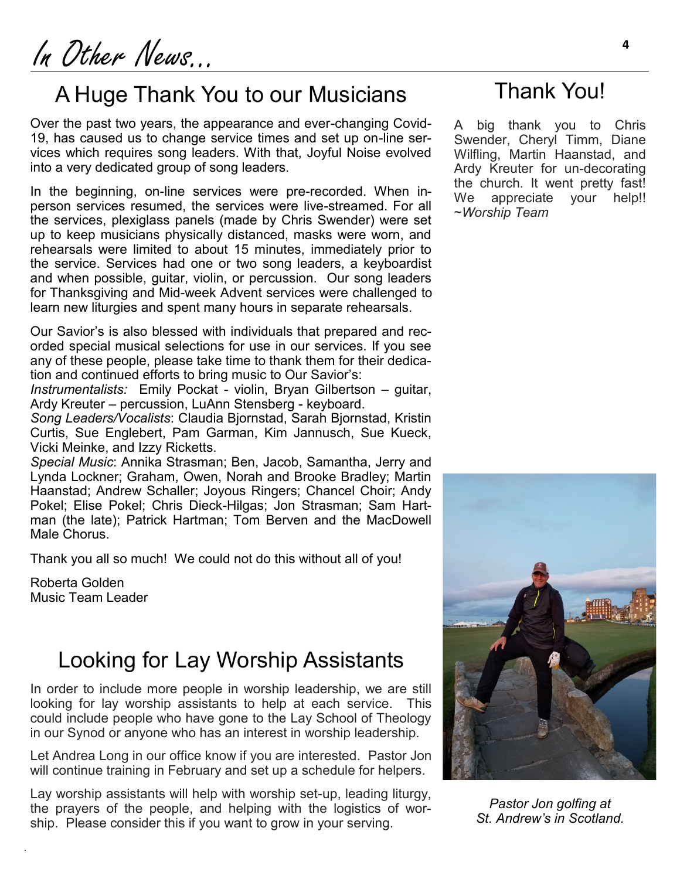In Other News... **<sup>4</sup>**

# A Huge Thank You to our Musicians

Over the past two years, the appearance and ever-changing Covid-19, has caused us to change service times and set up on-line services which requires song leaders. With that, Joyful Noise evolved into a very dedicated group of song leaders.

In the beginning, on-line services were pre-recorded. When inperson services resumed, the services were live-streamed. For all the services, plexiglass panels (made by Chris Swender) were set up to keep musicians physically distanced, masks were worn, and rehearsals were limited to about 15 minutes, immediately prior to the service. Services had one or two song leaders, a keyboardist and when possible, guitar, violin, or percussion. Our song leaders for Thanksgiving and Mid-week Advent services were challenged to learn new liturgies and spent many hours in separate rehearsals.

Our Savior's is also blessed with individuals that prepared and recorded special musical selections for use in our services. If you see any of these people, please take time to thank them for their dedication and continued efforts to bring music to Our Savior's:

*Instrumentalists:* Emily Pockat - violin, Bryan Gilbertson – guitar, Ardy Kreuter – percussion, LuAnn Stensberg - keyboard.

*Song Leaders/Vocalists*: Claudia Bjornstad, Sarah Bjornstad, Kristin Curtis, Sue Englebert, Pam Garman, Kim Jannusch, Sue Kueck, Vicki Meinke, and Izzy Ricketts.

*Special Music*: Annika Strasman; Ben, Jacob, Samantha, Jerry and Lynda Lockner; Graham, Owen, Norah and Brooke Bradley; Martin Haanstad; Andrew Schaller; Joyous Ringers; Chancel Choir; Andy Pokel; Elise Pokel; Chris Dieck-Hilgas; Jon Strasman; Sam Hartman (the late); Patrick Hartman; Tom Berven and the MacDowell Male Chorus.

Thank you all so much! We could not do this without all of you!

Roberta Golden Music Team Leader

.

## Looking for Lay Worship Assistants

In order to include more people in worship leadership, we are still looking for lay worship assistants to help at each service. This could include people who have gone to the Lay School of Theology in our Synod or anyone who has an interest in worship leadership.

Let Andrea Long in our office know if you are interested. Pastor Jon will continue training in February and set up a schedule for helpers.

Lay worship assistants will help with worship set-up, leading liturgy, the prayers of the people, and helping with the logistics of worship. Please consider this if you want to grow in your serving.

## Thank You!

A big thank you to Chris Swender, Cheryl Timm, Diane Wilfling, Martin Haanstad, and Ardy Kreuter for un-decorating the church. It went pretty fast! We appreciate your help!! ~*Worship Team*



*Pastor Jon golfing at St. Andrew's in Scotland.*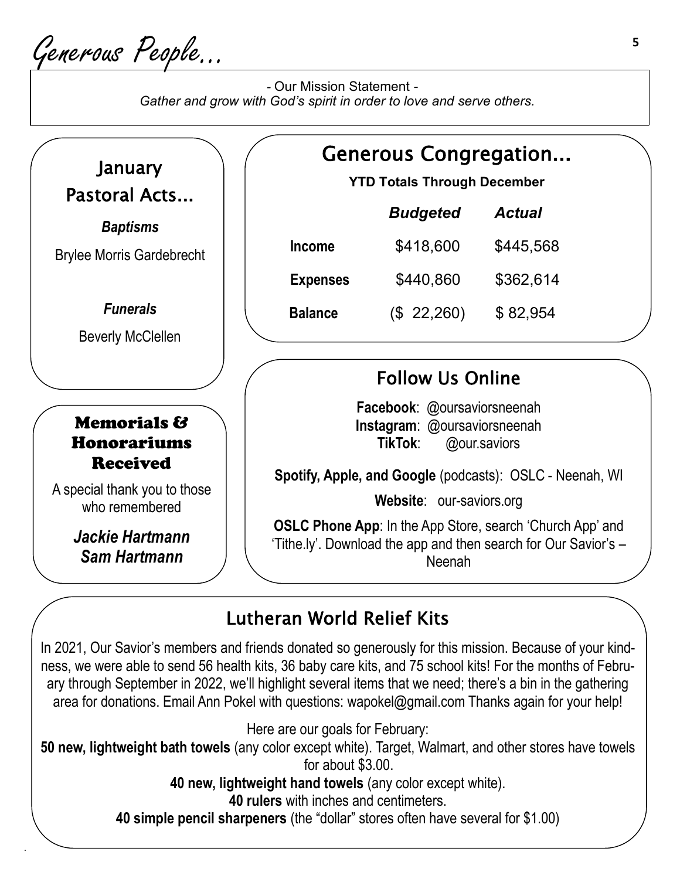Generous People…

.

 *-* Our Mission Statement *- Gather and grow with God's spirit in order to love and serve others.*



**40 simple pencil sharpeners** (the "dollar" stores often have several for \$1.00)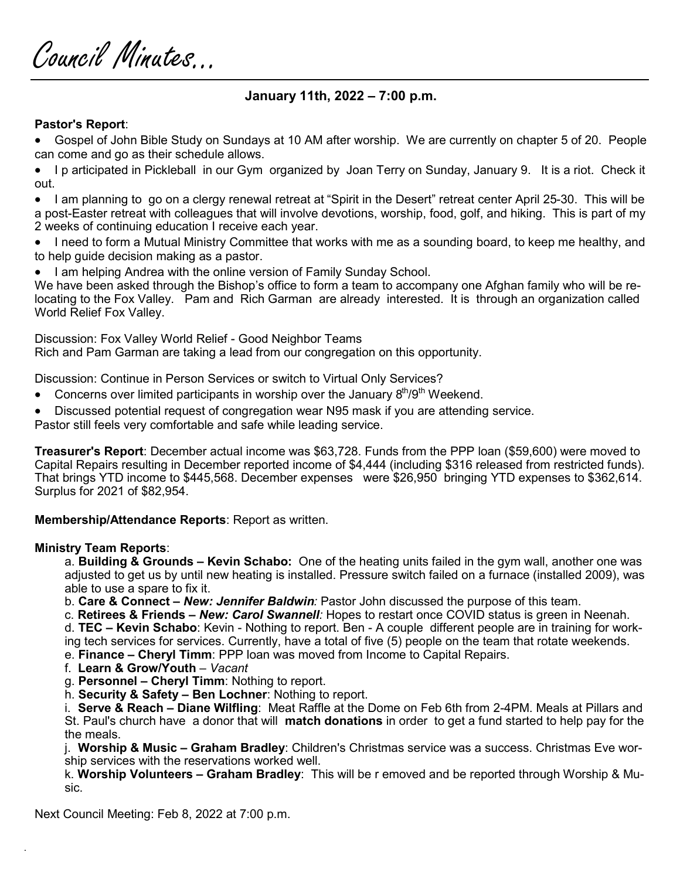Council Minutes...

### **January 11th, 2022 – 7:00 p.m.**

### **Pastor's Report**:

• Gospel of John Bible Study on Sundays at 10 AM after worship. We are currently on chapter 5 of 20. People can come and go as their schedule allows.

• I p articipated in Pickleball in our Gym organized by Joan Terry on Sunday, January 9. It is a riot. Check it out.

• I am planning to go on a clergy renewal retreat at "Spirit in the Desert" retreat center April 25-30. This will be a post-Easter retreat with colleagues that will involve devotions, worship, food, golf, and hiking. This is part of my 2 weeks of continuing education I receive each year.

• I need to form a Mutual Ministry Committee that works with me as a sounding board, to keep me healthy, and to help guide decision making as a pastor.

• I am helping Andrea with the online version of Family Sunday School.

We have been asked through the Bishop's office to form a team to accompany one Afghan family who will be relocating to the Fox Valley. Pam and Rich Garman are already interested. It is through an organization called World Relief Fox Valley.

Discussion: Fox Valley World Relief - Good Neighbor Teams

Rich and Pam Garman are taking a lead from our congregation on this opportunity.

Discussion: Continue in Person Services or switch to Virtual Only Services?

- Concerns over limited participants in worship over the January  $8<sup>th</sup>/9<sup>th</sup>$  Weekend.
- Discussed potential request of congregation wear N95 mask if you are attending service.

Pastor still feels very comfortable and safe while leading service.

**Treasurer's Report**: December actual income was \$63,728. Funds from the PPP loan (\$59,600) were moved to Capital Repairs resulting in December reported income of \$4,444 (including \$316 released from restricted funds). That brings YTD income to \$445,568. December expenses were \$26,950 bringing YTD expenses to \$362,614. Surplus for 2021 of \$82,954.

**Membership/Attendance Reports**: Report as written.

### **Ministry Team Reports**:

.

a. **Building & Grounds – Kevin Schabo:** One of the heating units failed in the gym wall, another one was adjusted to get us by until new heating is installed. Pressure switch failed on a furnace (installed 2009), was able to use a spare to fix it.

b. **Care & Connect –** *New: Jennifer Baldwin:* Pastor John discussed the purpose of this team.

c. **Retirees & Friends –** *New: Carol Swannell:* Hopes to restart once COVID status is green in Neenah.

d. **TEC – Kevin Schabo**: Kevin - Nothing to report. Ben - A couple different people are in training for working tech services for services. Currently, have a total of five (5) people on the team that rotate weekends. e. **Finance – Cheryl Timm**: PPP loan was moved from Income to Capital Repairs.

f. **Learn & Grow/Youth** – *Vacant*

g. **Personnel – Cheryl Timm**: Nothing to report.

h. **Security & Safety – Ben Lochner**: Nothing to report.

i. **Serve & Reach – Diane Wilfling**: Meat Raffle at the Dome on Feb 6th from 2-4PM. Meals at Pillars and St. Paul's church have a donor that will **match donations** in order to get a fund started to help pay for the the meals.

j. **Worship & Music – Graham Bradley**: Children's Christmas service was a success. Christmas Eve worship services with the reservations worked well.

k. **Worship Volunteers – Graham Bradley**: This will be r emoved and be reported through Worship & Music.

Next Council Meeting: Feb 8, 2022 at 7:00 p.m.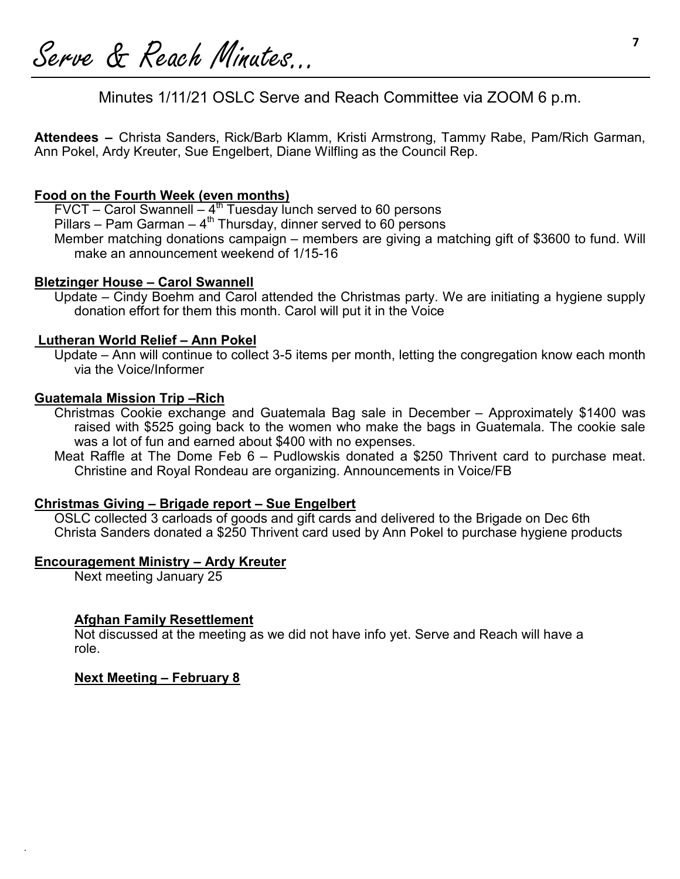**<sup>7</sup>**Serve & Reach Minutes...

Minutes 1/11/21 OSLC Serve and Reach Committee via ZOOM 6 p.m.

**Attendees –** Christa Sanders, Rick/Barb Klamm, Kristi Armstrong, Tammy Rabe, Pam/Rich Garman, Ann Pokel, Ardy Kreuter, Sue Engelbert, Diane Wilfling as the Council Rep.

### **Food on the Fourth Week (even months)**

 $FVCT -$  Carol Swannell  $-4<sup>th</sup>$  Tuesday lunch served to 60 persons

Pillars – Pam Garman –  $4^{\text{th}}$  Thursday, dinner served to 60 persons

Member matching donations campaign – members are giving a matching gift of \$3600 to fund. Will make an announcement weekend of 1/15-16

### **Bletzinger House – Carol Swannell**

Update – Cindy Boehm and Carol attended the Christmas party. We are initiating a hygiene supply donation effort for them this month. Carol will put it in the Voice

### **Lutheran World Relief – Ann Pokel**

Update – Ann will continue to collect 3-5 items per month, letting the congregation know each month via the Voice/Informer

#### **Guatemala Mission Trip –Rich**

Christmas Cookie exchange and Guatemala Bag sale in December – Approximately \$1400 was raised with \$525 going back to the women who make the bags in Guatemala. The cookie sale was a lot of fun and earned about \$400 with no expenses.

Meat Raffle at The Dome Feb 6 – Pudlowskis donated a \$250 Thrivent card to purchase meat. Christine and Royal Rondeau are organizing. Announcements in Voice/FB

#### **Christmas Giving – Brigade report – Sue Engelbert**

OSLC collected 3 carloads of goods and gift cards and delivered to the Brigade on Dec 6th Christa Sanders donated a \$250 Thrivent card used by Ann Pokel to purchase hygiene products

#### **Encouragement Ministry – Ardy Kreuter**

Next meeting January 25

### **Afghan Family Resettlement**

Not discussed at the meeting as we did not have info yet. Serve and Reach will have a role.

#### **Next Meeting – February 8**

.